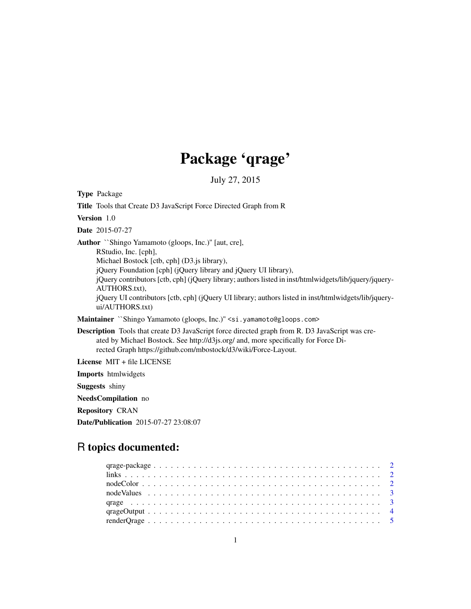# Package 'qrage'

July 27, 2015

Type Package Title Tools that Create D3 JavaScript Force Directed Graph from R Version 1.0 Date 2015-07-27 Author ``Shingo Yamamoto (gloops, Inc.)'' [aut, cre], RStudio, Inc. [cph], Michael Bostock [ctb, cph] (D3.js library), jQuery Foundation [cph] (jQuery library and jQuery UI library), jQuery contributors [ctb, cph] (jQuery library; authors listed in inst/htmlwidgets/lib/jquery/jquery-AUTHORS.txt), jQuery UI contributors [ctb, cph] (jQuery UI library; authors listed in inst/htmlwidgets/lib/jqueryui/AUTHORS.txt) Maintainer ``Shingo Yamamoto (gloops, Inc.)" <si.yamamoto@gloops.com> Description Tools that create D3 JavaScript force directed graph from R. D3 JavaScript was created by Michael Bostock. See http://d3js.org/ and, more specifically for Force Directed Graph https://github.com/mbostock/d3/wiki/Force-Layout. License MIT + file LICENSE Imports htmlwidgets Suggests shiny NeedsCompilation no Repository CRAN

## R topics documented:

Date/Publication 2015-07-27 23:08:07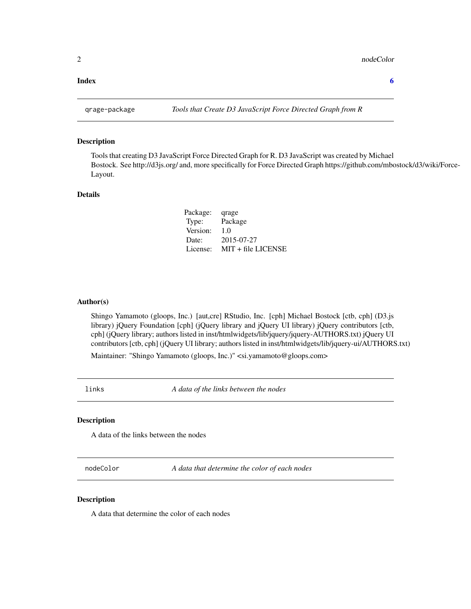#### <span id="page-1-0"></span>**Index** [6](#page-5-0) **6**

#### Description

Tools that creating D3 JavaScript Force Directed Graph for R. D3 JavaScript was created by Michael Bostock. See http://d3js.org/ and, more specifically for Force Directed Graph https://github.com/mbostock/d3/wiki/Force-Layout.

#### Details

Package: qrage Type: Package Version: 1.0 Date: 2015-07-27 License: MIT + file LICENSE

#### Author(s)

Shingo Yamamoto (gloops, Inc.) [aut,cre] RStudio, Inc. [cph] Michael Bostock [ctb, cph] (D3.js library) jQuery Foundation [cph] (jQuery library and jQuery UI library) jQuery contributors [ctb, cph] (jQuery library; authors listed in inst/htmlwidgets/lib/jquery/jquery-AUTHORS.txt) jQuery UI contributors [ctb, cph] (jQuery UI library; authors listed in inst/htmlwidgets/lib/jquery-ui/AUTHORS.txt)

Maintainer: "Shingo Yamamoto (gloops, Inc.)" <si.yamamoto@gloops.com>

links *A data of the links between the nodes*

#### Description

A data of the links between the nodes

nodeColor *A data that determine the color of each nodes*

#### Description

A data that determine the color of each nodes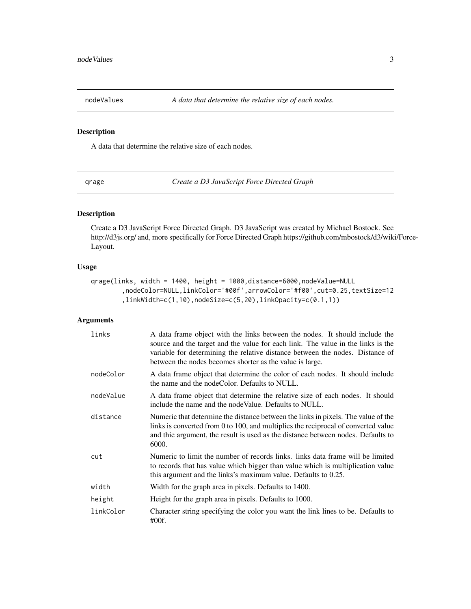<span id="page-2-0"></span>

#### Description

A data that determine the relative size of each nodes.

qrage *Create a D3 JavaScript Force Directed Graph*

#### Description

Create a D3 JavaScript Force Directed Graph. D3 JavaScript was created by Michael Bostock. See http://d3js.org/ and, more specifically for Force Directed Graph https://github.com/mbostock/d3/wiki/Force-Layout.

### Usage

```
qrage(links, width = 1400, height = 1000,distance=6000,nodeValue=NULL
        ,nodeColor=NULL,linkColor='#00f',arrowColor='#f00',cut=0.25,textSize=12
        ,linkWidth=c(1,10),nodeSize=c(5,20),linkOpacity=c(0.1,1))
```
#### Arguments

| links     | A data frame object with the links between the nodes. It should include the<br>source and the target and the value for each link. The value in the links is the<br>variable for determining the relative distance between the nodes. Distance of<br>between the nodes becomes shorter as the value is large. |
|-----------|--------------------------------------------------------------------------------------------------------------------------------------------------------------------------------------------------------------------------------------------------------------------------------------------------------------|
| nodeColor | A data frame object that determine the color of each nodes. It should include<br>the name and the node Color. Defaults to NULL.                                                                                                                                                                              |
| nodeValue | A data frame object that determine the relative size of each nodes. It should<br>include the name and the node Value. Defaults to NULL.                                                                                                                                                                      |
| distance  | Numeric that determine the distance between the links in pixels. The value of the<br>links is converted from 0 to 100, and multiplies the reciprocal of converted value<br>and thie argument, the result is used as the distance between nodes. Defaults to<br>6000.                                         |
| cut       | Numeric to limit the number of records links. links data frame will be limited<br>to records that has value which bigger than value which is multiplication value<br>this argument and the links's maximum value. Defaults to 0.25.                                                                          |
| width     | Width for the graph area in pixels. Defaults to 1400.                                                                                                                                                                                                                                                        |
| height    | Height for the graph area in pixels. Defaults to 1000.                                                                                                                                                                                                                                                       |
| linkColor | Character string specifying the color you want the link lines to be. Defaults to<br>$\#00f.$                                                                                                                                                                                                                 |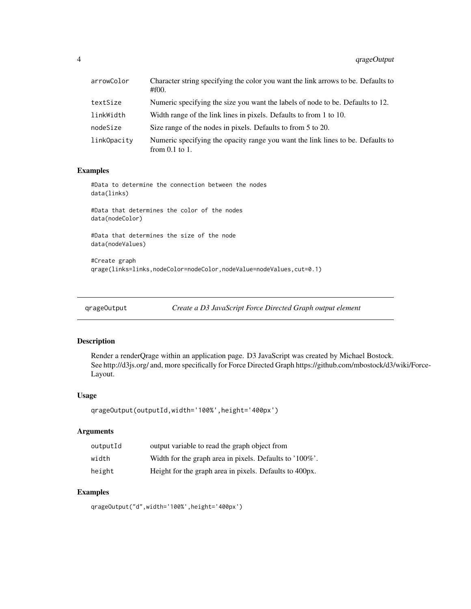<span id="page-3-0"></span>

| arrowColor  | Character string specifying the color you want the link arrows to be. Defaults to<br>$\#f00.$          |
|-------------|--------------------------------------------------------------------------------------------------------|
| textSize    | Numeric specifying the size you want the labels of node to be. Defaults to 12.                         |
| linkWidth   | Width range of the link lines in pixels. Defaults to from 1 to 10.                                     |
| nodeSize    | Size range of the nodes in pixels. Defaults to from 5 to 20.                                           |
| link0pacity | Numeric specifying the opacity range you want the link lines to be. Defaults to<br>from $0.1$ to $1$ . |

#### Examples

#Data to determine the connection between the nodes data(links)

#Data that determines the color of the nodes data(nodeColor)

#Data that determines the size of the node data(nodeValues)

#Create graph qrage(links=links,nodeColor=nodeColor,nodeValue=nodeValues,cut=0.1)

qrageOutput *Create a D3 JavaScript Force Directed Graph output element*

#### Description

Render a renderQrage within an application page. D3 JavaScript was created by Michael Bostock. See http://d3js.org/ and, more specifically for Force Directed Graph https://github.com/mbostock/d3/wiki/Force-Layout.

#### Usage

```
qrageOutput(outputId,width='100%',height='400px')
```
#### Arguments

| outputId | output variable to read the graph object from           |
|----------|---------------------------------------------------------|
| width    | Width for the graph area in pixels. Defaults to '100%'. |
| height   | Height for the graph area in pixels. Defaults to 400px. |

#### Examples

qrageOutput("d",width='100%',height='400px')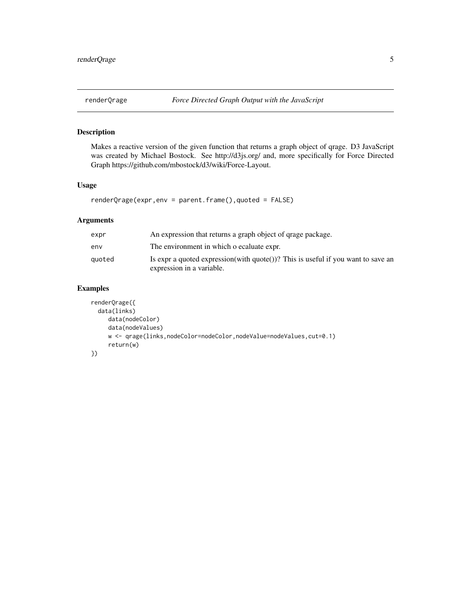<span id="page-4-0"></span>

#### Description

Makes a reactive version of the given function that returns a graph object of qrage. D3 JavaScript was created by Michael Bostock. See http://d3js.org/ and, more specifically for Force Directed Graph https://github.com/mbostock/d3/wiki/Force-Layout.

#### Usage

renderQrage(expr,env = parent.frame(),quoted = FALSE)

#### Arguments

| expr   | An expression that returns a graph object of grage package.                                                   |
|--------|---------------------------------------------------------------------------------------------------------------|
| env    | The environment in which o ecaluate expr.                                                                     |
| auoted | Is expr a quoted expression(with quote())? This is useful if you want to save an<br>expression in a variable. |

#### Examples

```
renderQrage({
 data(links)
    data(nodeColor)
    data(nodeValues)
    w <- qrage(links,nodeColor=nodeColor,nodeValue=nodeValues,cut=0.1)
     return(w)
})
```